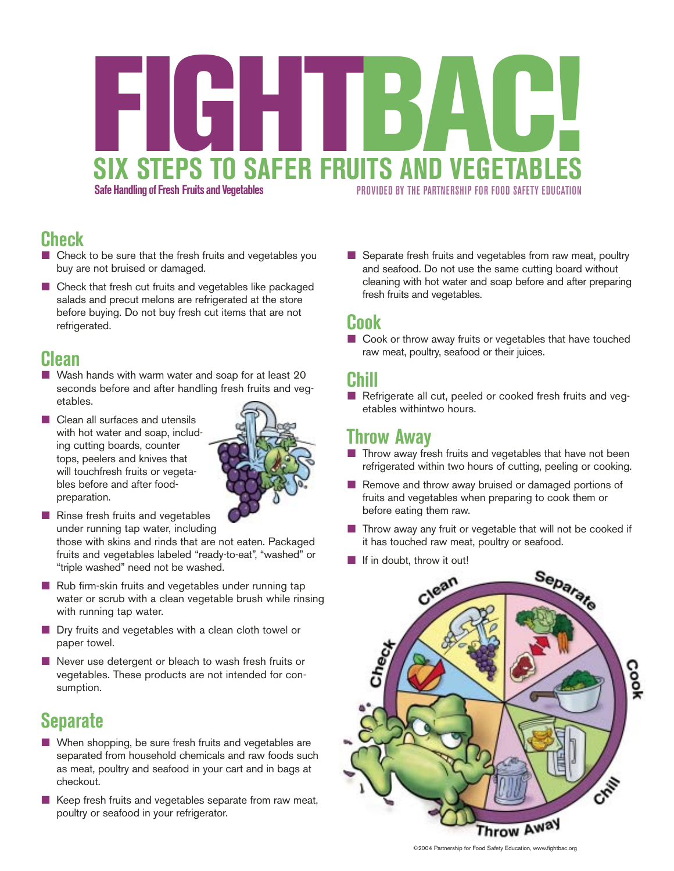# **Safe Handling of Fresh Fruits and Vegetables PROVIDED BY THE PARTNERSHIP FOR FOOD SAFETY EDUCATION SIX STEPS TO SAFER FRUITS AND VEGETABL FIGHTBAU**

### **Check**

- $\blacksquare$  Check to be sure that the fresh fruits and vegetables you buy are not bruised or damaged.
- $\blacksquare$  Check that fresh cut fruits and vegetables like packaged salads and precut melons are refrigerated at the store before buying. Do not buy fresh cut items that are not refrigerated.

#### **Clean**

- $\blacksquare$  Wash hands with warm water and soap for at least 20 seconds before and after handling fresh fruits and vegetables.
- $\blacksquare$  Clean all surfaces and utensils with hot water and soap, including cutting boards, counter tops, peelers and knives that will touchfresh fruits or vegetables before and after foodpreparation.



 $\blacksquare$  Rinse fresh fruits and vegetables under running tap water, including

those with skins and rinds that are not eaten. Packaged fruits and vegetables labeled "ready-to-eat", "washed" or "triple washed" need not be washed.

- $\blacksquare$  Rub firm-skin fruits and vegetables under running tap water or scrub with a clean vegetable brush while rinsing with running tap water.
- **Dry fruits and vegetables with a clean cloth towel or** paper towel.
- $\blacksquare$  Never use detergent or bleach to wash fresh fruits or vegetables. These products are not intended for consumption.

## **Separate**

- $\blacksquare$  When shopping, be sure fresh fruits and vegetables are separated from household chemicals and raw foods such as meat, poultry and seafood in your cart and in bags at checkout.
- $\blacksquare$  Keep fresh fruits and vegetables separate from raw meat, poultry or seafood in your refrigerator.

 $\blacksquare$  Separate fresh fruits and vegetables from raw meat, poultry and seafood. Do not use the same cutting board without cleaning with hot water and soap before and after preparing fresh fruits and vegetables.

#### **Cook**

 $\Box$  Cook or throw away fruits or vegetables that have touched raw meat, poultry, seafood or their juices.

#### **Chill**

Refrigerate all cut, peeled or cooked fresh fruits and vegetables withintwo hours.

#### **Throw Away**

- $\blacksquare$  Throw away fresh fruits and vegetables that have not been refrigerated within two hours of cutting, peeling or cooking.
- $\blacksquare$  Remove and throw away bruised or damaged portions of fruits and vegetables when preparing to cook them or before eating them raw.
- $\blacksquare$  Throw away any fruit or vegetable that will not be cooked if it has touched raw meat, poultry or seafood.
- $\blacksquare$  If in doubt, throw it out!



©2004 Partnership for Food Safety Education, www.fightbac.org